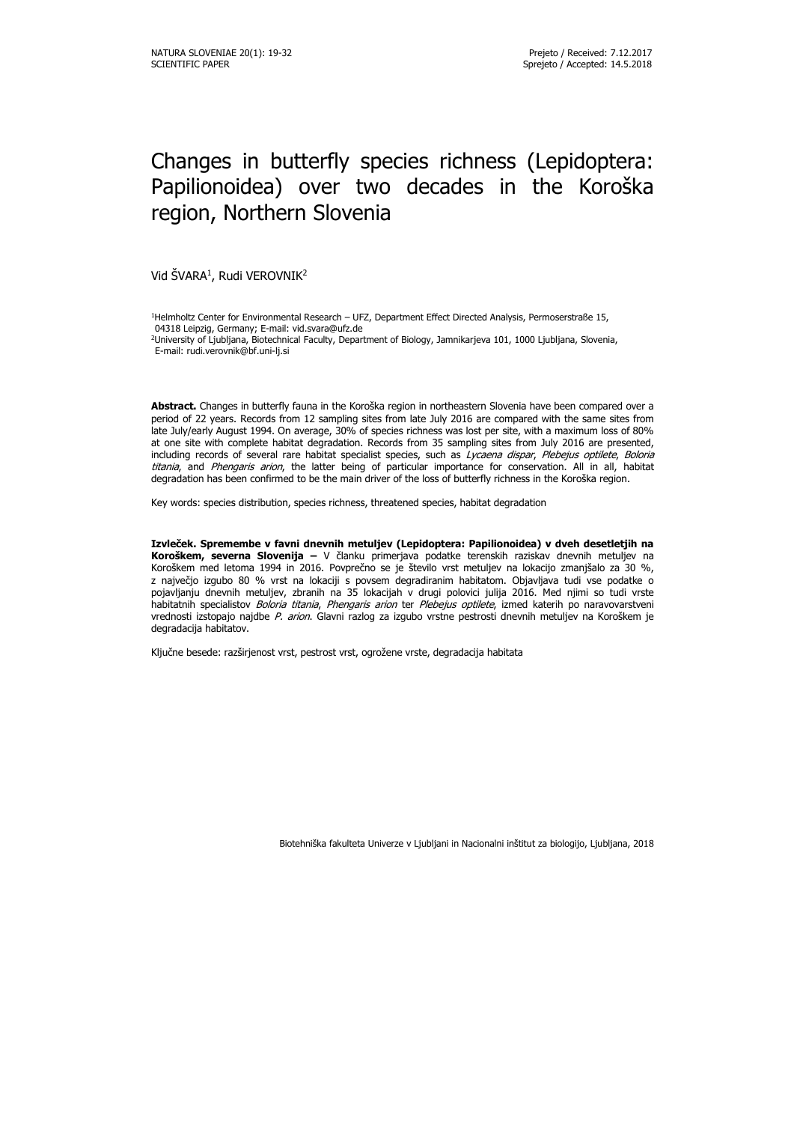# Changes in butterfly species richness (Lepidoptera: Papilionoidea) over two decades in the Koroška region, Northern Slovenia

Vid SVARA<sup>1</sup>, Rudi VEROVNIK<sup>2</sup>

<sup>1</sup>Helmholtz Center for Environmental Research – UFZ, Department Effect Directed Analysis, Permoserstraße 15, 04318 Leipzig, Germany; E-mail: vid.svara@ufz.de

**Abstract.** Changes in butterfly fauna in the Koroška region in northeastern Slovenia have been compared over a period of 22 years. Records from 12 sampling sites from late July 2016 are compared with the same sites from late July/early August 1994. On average, 30% of species richness was lost per site, with a maximum loss of 80% at one site with complete habitat degradation. Records from 35 sampling sites from July 2016 are presented, including records of several rare habitat specialist species, such as Lycaena dispar, Plebejus optilete, Boloria titania, and Phengaris arion, the latter being of particular importance for conservation. All in all, habitat degradation has been confirmed to be the main driver of the loss of butterfly richness in the Koroška region.

Key words: species distribution, species richness, threatened species, habitat degradation

**Izvleček. Spremembe v favni dnevnih metuljev (Lepidoptera: Papilionoidea) v dveh desetletjih na Koroškem, severna Slovenija –** V članku primerjava podatke terenskih raziskav dnevnih metuljev na Koroškem med letoma 1994 in 2016. Povprečno se je število vrst metuljev na lokacijo zmanjšalo za 30 %, z največjo izgubo 80 % vrst na lokaciji s povsem degradiranim habitatom. Objavljava tudi vse podatke o pojavljanju dnevnih metuljev, zbranih na 35 lokacijah v drugi polovici julija 2016. Med njimi so tudi vrste habitatnih specialistov Boloria titania, Phengaris arion ter Plebejus optilete, izmed katerih po naravovarstveni vrednosti izstopajo najdbe P. arion. Glavni razlog za izgubo vrstne pestrosti dnevnih metuljev na Koroškem je degradacija habitatov.

Ključne besede: razširjenost vrst, pestrost vrst, ogrožene vrste, degradacija habitata

Biotehniška fakulteta Univerze v Ljubljani in Nacionalni inštitut za biologijo, Ljubljana, 2018

<sup>&</sup>lt;sup>2</sup>University of Ljubljana, Biotechnical Faculty, Department of Biology, Jamnikarjeva 101, 1000 Ljubljana, Slovenia, E-mail: rudi.verovnik@bf.uni-lj.si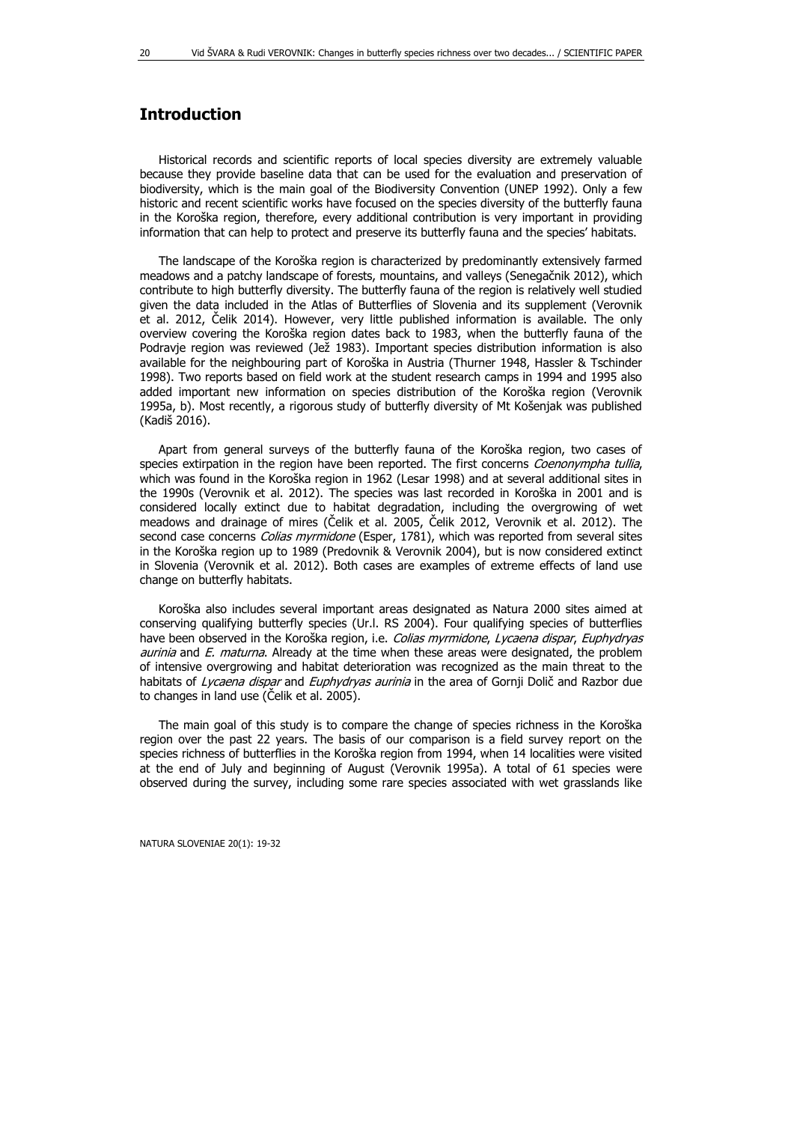## **Introduction**

Historical records and scientific reports of local species diversity are extremely valuable because they provide baseline data that can be used for the evaluation and preservation of biodiversity, which is the main goal of the Biodiversity Convention (UNEP 1992). Only a few historic and recent scientific works have focused on the species diversity of the butterfly fauna in the Koroška region, therefore, every additional contribution is very important in providing information that can help to protect and preserve its butterfly fauna and the species' habitats.

The landscape of the Koroška region is characterized by predominantly extensively farmed meadows and a patchy landscape of forests, mountains, and valleys (Senegačnik 2012), which contribute to high butterfly diversity. The butterfly fauna of the region is relatively well studied given the data included in the Atlas of Butterflies of Slovenia and its supplement (Verovnik et al. 2012, Čelik 2014). However, very little published information is available. The only overview covering the Koroška region dates back to 1983, when the butterfly fauna of the Podravje region was reviewed (Jež 1983). Important species distribution information is also available for the neighbouring part of Koroška in Austria (Thurner 1948, Hassler & Tschinder 1998). Two reports based on field work at the student research camps in 1994 and 1995 also added important new information on species distribution of the Koroška region (Verovnik 1995a, b). Most recently, a rigorous study of butterfly diversity of Mt Košenjak was published (Kadiš 2016).

Apart from general surveys of the butterfly fauna of the Koroška region, two cases of species extirpation in the region have been reported. The first concerns Coenonympha tullia, which was found in the Koroška region in 1962 (Lesar 1998) and at several additional sites in the 1990s (Verovnik et al. 2012). The species was last recorded in Koroška in 2001 and is considered locally extinct due to habitat degradation, including the overgrowing of wet meadows and drainage of mires (Čelik et al. 2005, Čelik 2012, Verovnik et al. 2012). The second case concerns *Colias myrmidone* (Esper, 1781), which was reported from several sites in the Koroška region up to 1989 (Predovnik & Verovnik 2004), but is now considered extinct in Slovenia (Verovnik et al. 2012). Both cases are examples of extreme effects of land use change on butterfly habitats.

Koroška also includes several important areas designated as Natura 2000 sites aimed at conserving qualifying butterfly species (Ur.l. RS 2004). Four qualifying species of butterflies have been observed in the Koroška region, i.e. Colias myrmidone, Lycaena dispar, Euphydryas aurinia and E. maturna. Already at the time when these areas were designated, the problem of intensive overgrowing and habitat deterioration was recognized as the main threat to the habitats of Lycaena dispar and Euphydryas aurinia in the area of Gornji Dolič and Razbor due to changes in land use (Čelik et al. 2005).

The main goal of this study is to compare the change of species richness in the Koroška region over the past 22 years. The basis of our comparison is a field survey report on the species richness of butterflies in the Koroška region from 1994, when 14 localities were visited at the end of July and beginning of August (Verovnik 1995a). A total of 61 species were observed during the survey, including some rare species associated with wet grasslands like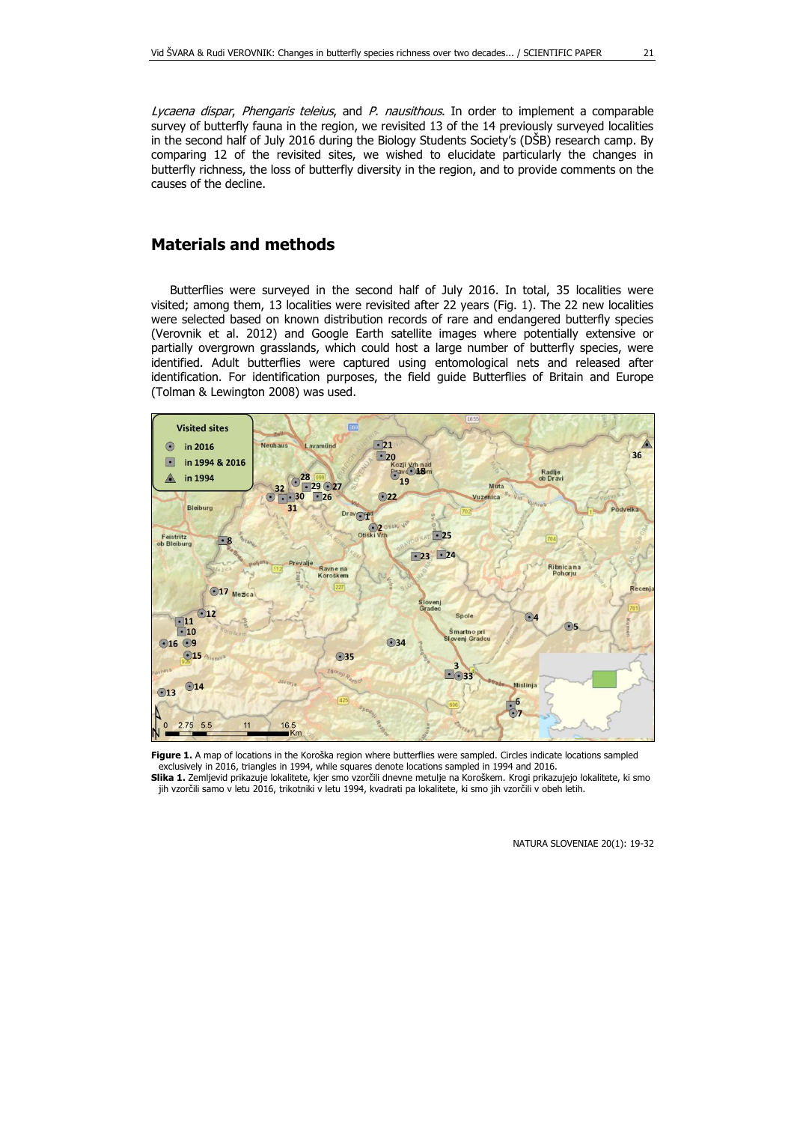Lycaena dispar, Phengaris teleius, and P. nausithous. In order to implement a comparable survey of butterfly fauna in the region, we revisited 13 of the 14 previously surveyed localities in the second half of July 2016 during the Biology Students Society's (DŠB) research camp. By comparing 12 of the revisited sites, we wished to elucidate particularly the changes in butterfly richness, the loss of butterfly diversity in the region, and to provide comments on the causes of the decline.

## **Materials and methods**

Butterflies were surveyed in the second half of July 2016. In total, 35 localities were visited; among them, 13 localities were revisited after 22 years (Fig. 1). The 22 new localities were selected based on known distribution records of rare and endangered butterfly species (Verovnik et al. 2012) and Google Earth satellite images where potentially extensive or partially overgrown grasslands, which could host a large number of butterfly species, were identified. Adult butterflies were captured using entomological nets and released after identification. For identification purposes, the field guide Butterflies of Britain and Europe (Tolman & Lewington 2008) was used.



Figure 1. A map of locations in the Koroška region where butterflies were sampled. Circles indicate locations sampled exclusively in 2016, triangles in 1994, while squares denote locations sampled in 1994 and 2016. **Slika 1.** Zemljevid prikazuje lokalitete, kjer smo vzorčili dnevne metulje na Koroškem. Krogi prikazujejo lokalitete, ki smo jih vzorčili samo v letu 2016, trikotniki v letu 1994, kvadrati pa lokalitete, ki smo jih vzorčili v obeh letih.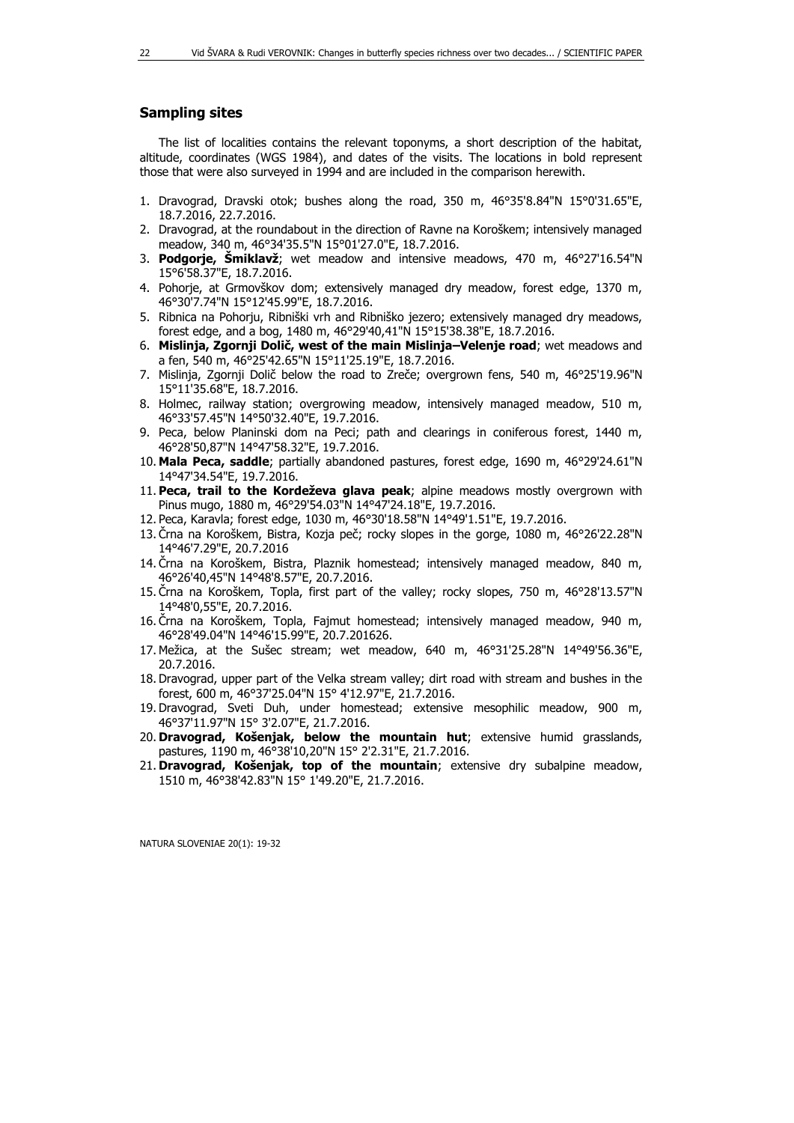#### **Sampling sites**

The list of localities contains the relevant toponyms, a short description of the habitat, altitude, coordinates (WGS 1984), and dates of the visits. The locations in bold represent those that were also surveyed in 1994 and are included in the comparison herewith.

- 1. Dravograd, Dravski otok; bushes along the road, 350 m, 46°35'8.84"N 15°0'31.65"E, 18.7.2016, 22.7.2016.
- 2. Dravograd, at the roundabout in the direction of Ravne na Koroškem; intensively managed meadow, 340 m, 46°34'35.5"N 15°01'27.0"E, 18.7.2016.
- 3. **Podgorje, Šmiklavž**; wet meadow and intensive meadows, 470 m, 46°27'16.54"N 15°6'58.37"E, 18.7.2016.
- 4. Pohorje, at Grmovškov dom; extensively managed dry meadow, forest edge, 1370 m, 46°30'7.74"N 15°12'45.99"E, 18.7.2016.
- 5. Ribnica na Pohorju, Ribniški vrh and Ribniško jezero; extensively managed dry meadows, forest edge, and a bog, 1480 m, 46°29'40,41"N 15°15'38.38"E, 18.7.2016.
- 6. **Mislinja, Zgornji Dolič, west of the main Mislinja–Velenje road**; wet meadows and a fen, 540 m, 46°25'42.65"N 15°11'25.19"E, 18.7.2016.
- 7. Mislinja, Zgornji Dolič below the road to Zreče; overgrown fens, 540 m, 46°25'19.96"N 15°11'35.68"E, 18.7.2016.
- 8. Holmec, railway station; overgrowing meadow, intensively managed meadow, 510 m, 46°33'57.45"N 14°50'32.40"E, 19.7.2016.
- 9. Peca, below Planinski dom na Peci; path and clearings in coniferous forest, 1440 m, 46°28'50,87"N 14°47'58.32"E, 19.7.2016.
- 10. **Mala Peca, saddle**; partially abandoned pastures, forest edge, 1690 m, 46°29'24.61"N 14°47'34.54"E, 19.7.2016.
- 11. **Peca, trail to the Kordeževa glava peak**; alpine meadows mostly overgrown with Pinus mugo, 1880 m, 46°29'54.03"N 14°47'24.18"E, 19.7.2016.
- 12. Peca, Karavla; forest edge, 1030 m, 46°30'18.58"N 14°49'1.51"E, 19.7.2016.
- 13. Črna na Koroškem, Bistra, Kozja peč; rocky slopes in the gorge, 1080 m, 46°26'22.28"N 14°46'7.29"E, 20.7.2016
- 14. Črna na Koroškem, Bistra, Plaznik homestead; intensively managed meadow, 840 m, 46°26'40,45"N 14°48'8.57"E, 20.7.2016.
- 15. Črna na Koroškem, Topla, first part of the valley; rocky slopes, 750 m, 46°28'13.57"N 14°48'0,55"E, 20.7.2016.
- 16. Črna na Koroškem, Topla, Fajmut homestead; intensively managed meadow, 940 m, 46°28'49.04"N 14°46'15.99"E, 20.7.201626.
- 17. Mežica, at the Sušec stream; wet meadow, 640 m, 46°31'25.28"N 14°49'56.36"E, 20.7.2016.
- 18. Dravograd, upper part of the Velka stream valley; dirt road with stream and bushes in the forest, 600 m, 46°37'25.04"N 15° 4'12.97"E, 21.7.2016.
- 19. Dravograd, Sveti Duh, under homestead; extensive mesophilic meadow, 900 m, 46°37'11.97"N 15° 3'2.07"E, 21.7.2016.
- 20. **Dravograd, Košenjak, below the mountain hut**; extensive humid grasslands, pastures, 1190 m, 46°38'10,20"N 15° 2'2.31"E, 21.7.2016.
- 21. **Dravograd, Košenjak, top of the mountain**; extensive dry subalpine meadow, 1510 m, 46°38'42.83"N 15° 1'49.20"E, 21.7.2016.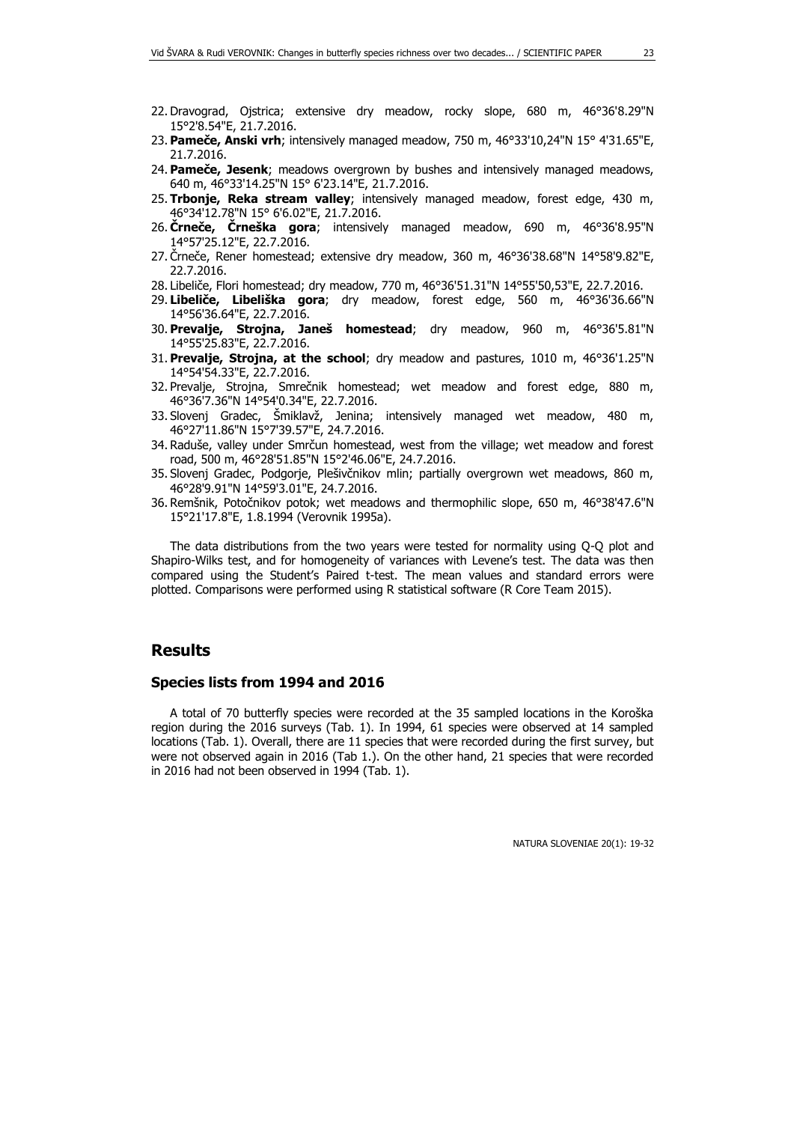- 22. Dravograd, Ojstrica; extensive dry meadow, rocky slope, 680 m, 46°36'8.29"N 15°2'8.54"E, 21.7.2016.
- 23. **Pameče, Anski vrh**; intensively managed meadow, 750 m, 46°33'10,24"N 15° 4'31.65"E, 21.7.2016.
- 24. **Pameče, Jesenk**; meadows overgrown by bushes and intensively managed meadows, 640 m, 46°33'14.25"N 15° 6'23.14"E, 21.7.2016.
- 25. **Trbonje, Reka stream valley**; intensively managed meadow, forest edge, 430 m, 46°34'12.78"N 15° 6'6.02"E, 21.7.2016.
- 26. **Črneče, Črneška gora**; intensively managed meadow, 690 m, 46°36'8.95"N 14°57'25.12"E, 22.7.2016.
- 27. Črneče, Rener homestead; extensive dry meadow, 360 m, 46°36'38.68"N 14°58'9.82"E, 22.7.2016.
- 28. Libeliče, Flori homestead; dry meadow, 770 m, 46°36'51.31"N 14°55'50,53"E, 22.7.2016.
- 29. **Libeliče, Libeliška gora**; dry meadow, forest edge, 560 m, 46°36'36.66"N 14°56'36.64"E, 22.7.2016.
- 30. **Prevalje, Strojna, Janeš homestead**; dry meadow, 960 m, 46°36'5.81"N 14°55'25.83"E, 22.7.2016.
- 31. **Prevalje, Strojna, at the school**; dry meadow and pastures, 1010 m, 46°36'1.25"N 14°54'54.33"E, 22.7.2016.
- 32. Prevalje, Strojna, Smrečnik homestead; wet meadow and forest edge, 880 m, 46°36'7.36"N 14°54'0.34"E, 22.7.2016.
- 33. Slovenj Gradec, Šmiklavž, Jenina; intensively managed wet meadow, 480 m, 46°27'11.86"N 15°7'39.57"E, 24.7.2016.
- 34. Raduše, valley under Smrčun homestead, west from the village; wet meadow and forest road, 500 m, 46°28'51.85"N 15°2'46.06"E, 24.7.2016.
- 35. Slovenj Gradec, Podgorje, Plešivčnikov mlin; partially overgrown wet meadows, 860 m, 46°28'9.91"N 14°59'3.01"E, 24.7.2016.
- 36. Remšnik, Potočnikov potok; wet meadows and thermophilic slope, 650 m, 46°38'47.6"N 15°21'17.8"E, 1.8.1994 (Verovnik 1995a).

The data distributions from the two years were tested for normality using Q-Q plot and Shapiro-Wilks test, and for homogeneity of variances with Levene's test. The data was then compared using the Student's Paired t-test. The mean values and standard errors were plotted. Comparisons were performed using R statistical software (R Core Team 2015).

### **Results**

#### **Species lists from 1994 and 2016**

A total of 70 butterfly species were recorded at the 35 sampled locations in the Koroška region during the 2016 surveys (Tab. 1). In 1994, 61 species were observed at 14 sampled locations (Tab. 1). Overall, there are 11 species that were recorded during the first survey, but were not observed again in 2016 (Tab 1.). On the other hand, 21 species that were recorded in 2016 had not been observed in 1994 (Tab. 1).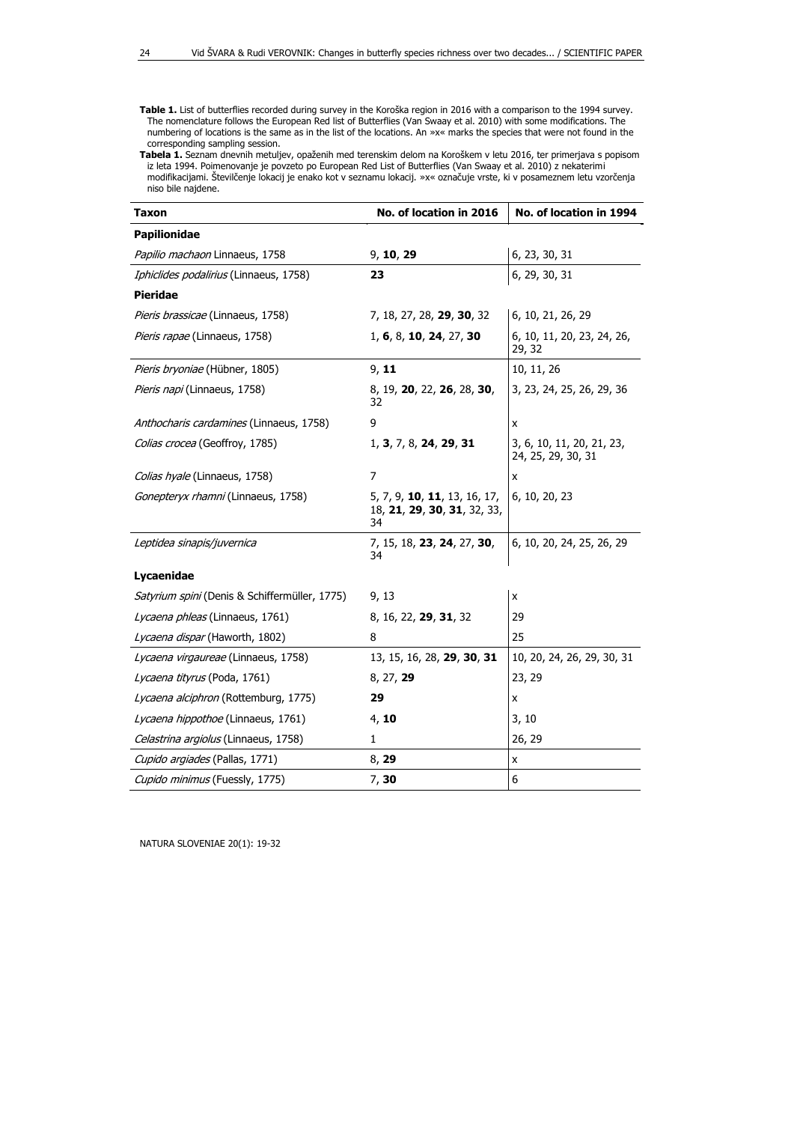**Table 1.** List of butterflies recorded during survey in the Koroška region in 2016 with a comparison to the 1994 survey. The nomenclature follows the European Red list of Butterflies (Van Swaay et al. 2010) with some modifications. The numbering of locations is the same as in the list of the locations. An »x« marks the species that were not found in the corresponding sampling session.

**Tabela 1.** Seznam dnevnih metuljev, opaženih med terenskim delom na Koroškem v letu 2016, ter primerjava s popisom iz leta 1994. Poimenovanje je povzeto po European Red List of Butterflies (Van Swaay et al. 2010) z nekaterimi modifikacijami. Številčenje lokacij je enako kot v seznamu lokacij. »x« označuje vrste, ki v posameznem letu vzorčenja niso bile najdene.

| Taxon                                         | No. of location in 2016                                                           |                                                 |  |  |  |
|-----------------------------------------------|-----------------------------------------------------------------------------------|-------------------------------------------------|--|--|--|
| Papilionidae                                  |                                                                                   |                                                 |  |  |  |
| Papilio machaon Linnaeus, 1758                | 9, 10, 29                                                                         | 6, 23, 30, 31                                   |  |  |  |
| Iphiclides podalirius (Linnaeus, 1758)        | 23                                                                                | 6, 29, 30, 31                                   |  |  |  |
| <b>Pieridae</b>                               |                                                                                   |                                                 |  |  |  |
| Pieris brassicae (Linnaeus, 1758)             | 7, 18, 27, 28, 29, 30, 32                                                         | 6, 10, 21, 26, 29                               |  |  |  |
| Pieris rapae (Linnaeus, 1758)                 | 1, 6, 8, 10, 24, 27, 30                                                           | 6, 10, 11, 20, 23, 24, 26,<br>29, 32            |  |  |  |
| Pieris bryoniae (Hübner, 1805)                | 9, 11                                                                             | 10, 11, 26                                      |  |  |  |
| Pieris napi (Linnaeus, 1758)                  | 8, 19, 20, 22, 26, 28, 30,<br>32                                                  | 3, 23, 24, 25, 26, 29, 36                       |  |  |  |
| Anthocharis cardamines (Linnaeus, 1758)       | 9                                                                                 | x                                               |  |  |  |
| Colias crocea (Geoffroy, 1785)                | 1, 3, 7, 8, 24, 29, 31                                                            | 3, 6, 10, 11, 20, 21, 23,<br>24, 25, 29, 30, 31 |  |  |  |
| Colias hyale (Linnaeus, 1758)                 | 7                                                                                 | x                                               |  |  |  |
| Gonepteryx rhamni (Linnaeus, 1758)            | 5, 7, 9, <b>10</b> , <b>11</b> , 13, 16, 17,<br>18, 21, 29, 30, 31, 32, 33,<br>34 | 6, 10, 20, 23                                   |  |  |  |
| Leptidea sinapis/juvernica                    | 7, 15, 18, 23, 24, 27, 30,<br>34                                                  | 6, 10, 20, 24, 25, 26, 29                       |  |  |  |
| Lycaenidae                                    |                                                                                   |                                                 |  |  |  |
| Satyrium spini (Denis & Schiffermüller, 1775) | 9, 13                                                                             | Χ                                               |  |  |  |
| Lycaena phleas (Linnaeus, 1761)               | 8, 16, 22, 29, 31, 32                                                             | 29                                              |  |  |  |
| Lycaena dispar (Haworth, 1802)                | 8                                                                                 | 25                                              |  |  |  |
| Lycaena virgaureae (Linnaeus, 1758)           | 13, 15, 16, 28, 29, 30, 31                                                        | 10, 20, 24, 26, 29, 30, 31                      |  |  |  |
| Lycaena tityrus (Poda, 1761)                  | 8, 27, 29                                                                         | 23, 29                                          |  |  |  |
| Lycaena alciphron (Rottemburg, 1775)          | 29                                                                                | x                                               |  |  |  |
| Lycaena hippothoe (Linnaeus, 1761)            | 4, 10                                                                             | 3, 10                                           |  |  |  |
| Celastrina argiolus (Linnaeus, 1758)          | 1                                                                                 | 26, 29                                          |  |  |  |
| Cupido argiades (Pallas, 1771)                | 8, 29                                                                             | x                                               |  |  |  |
| Cupido minimus (Fuessly, 1775)                | 7, 30                                                                             | 6                                               |  |  |  |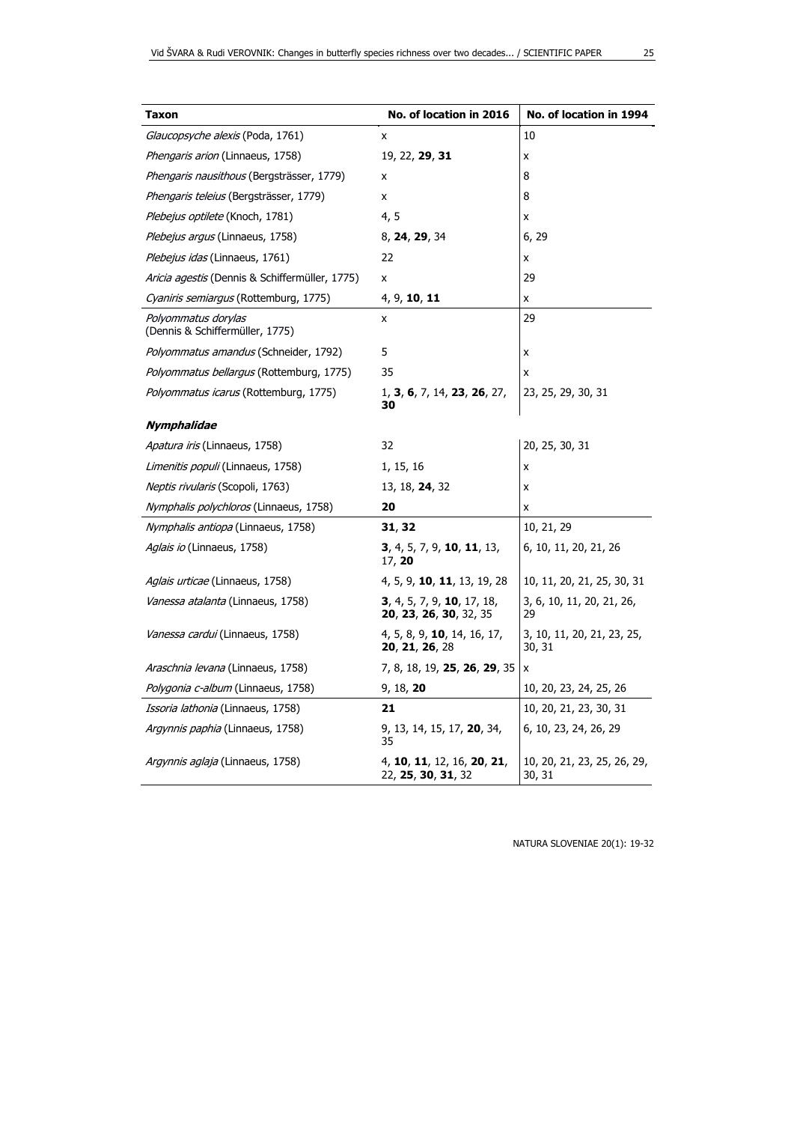| Taxon                                                  | No. of location in 2016                                              |                                       |  |  |  |
|--------------------------------------------------------|----------------------------------------------------------------------|---------------------------------------|--|--|--|
| Glaucopsyche alexis (Poda, 1761)                       | x                                                                    | 10                                    |  |  |  |
| Phengaris arion (Linnaeus, 1758)                       | 19, 22, 29, 31                                                       | x                                     |  |  |  |
| Phengaris nausithous (Bergsträsser, 1779)              | x                                                                    | 8                                     |  |  |  |
| Phengaris teleius (Bergsträsser, 1779)                 | x                                                                    | 8                                     |  |  |  |
| Plebejus optilete (Knoch, 1781)                        | 4, 5                                                                 | X                                     |  |  |  |
| Plebejus argus (Linnaeus, 1758)                        | 8, 24, 29, 34                                                        | 6, 29                                 |  |  |  |
| Plebejus idas (Linnaeus, 1761)                         | 22                                                                   | x                                     |  |  |  |
| <i>Aricia agestis</i> (Dennis & Schiffermüller, 1775)  | x                                                                    | 29                                    |  |  |  |
| Cyaniris semiargus (Rottemburg, 1775)                  | 4, 9, 10, 11                                                         | x                                     |  |  |  |
| Polyommatus dorylas<br>(Dennis & Schiffermüller, 1775) | x                                                                    | 29                                    |  |  |  |
| Polyommatus amandus (Schneider, 1792)                  | 5                                                                    | x                                     |  |  |  |
| <i>Polyommatus bellargus</i> (Rottemburg, 1775)        | 35                                                                   | X                                     |  |  |  |
| Polyommatus icarus (Rottemburg, 1775)                  | 1, 3, 6, 7, 14, 23, 26, 27,<br>30                                    | 23, 25, 29, 30, 31                    |  |  |  |
| Nymphalidae                                            |                                                                      |                                       |  |  |  |
| Apatura iris (Linnaeus, 1758)                          | 32                                                                   | 20, 25, 30, 31                        |  |  |  |
| Limenitis populi (Linnaeus, 1758)                      | 1, 15, 16                                                            | x                                     |  |  |  |
| <i>Neptis rivularis</i> (Scopoli, 1763)                | 13, 18, 24, 32                                                       | x                                     |  |  |  |
| <i>Nymphalis polychloros</i> (Linnaeus, 1758)          | 20                                                                   | x                                     |  |  |  |
| <i>Nymphalis antiopa</i> (Linnaeus, 1758)              | 31, 32                                                               | 10, 21, 29                            |  |  |  |
| <i>Aglais io</i> (Linnaeus, 1758)                      | <b>3</b> , 4, 5, 7, 9, <b>10</b> , <b>11</b> , 13,<br>17, 20         | 6, 10, 11, 20, 21, 26                 |  |  |  |
| <i>Aglais urticae</i> (Linnaeus, 1758)                 | 4, 5, 9, <b>10</b> , <b>11</b> , 13, 19, 28                          | 10, 11, 20, 21, 25, 30, 31            |  |  |  |
| <i>Vanessa atalanta</i> (Linnaeus, 1758)               | <b>3</b> , 4, 5, 7, 9, <b>10</b> , 17, 18,<br>20, 23, 26, 30, 32, 35 | 3, 6, 10, 11, 20, 21, 26,<br>29       |  |  |  |
| <i>Vanessa cardui</i> (Linnaeus, 1758)                 | 4, 5, 8, 9, <b>10</b> , 14, 16, 17,<br>20, 21, 26, 28                | 3, 10, 11, 20, 21, 23, 25,<br>30, 31  |  |  |  |
| <i>Araschnia levana</i> (Linnaeus, 1758)               | 7, 8, 18, 19, <b>25, 26, 29</b> , 35                                 | x                                     |  |  |  |
| Polygonia c-album (Linnaeus, 1758)                     | 9, 18, 20                                                            | 10, 20, 23, 24, 25, 26                |  |  |  |
| <i>Issoria lathonia</i> (Linnaeus, 1758)               | 21                                                                   | 10, 20, 21, 23, 30, 31                |  |  |  |
| <i>Argynnis paphia</i> (Linnaeus, 1758)                | 9, 13, 14, 15, 17, 20, 34,<br>35                                     | 6, 10, 23, 24, 26, 29                 |  |  |  |
| <i>Argynnis aglaja</i> (Linnaeus, 1758)                | 4, 10, 11, 12, 16, 20, 21,<br>22, 25, 30, 31, 32                     | 10, 20, 21, 23, 25, 26, 29,<br>30, 31 |  |  |  |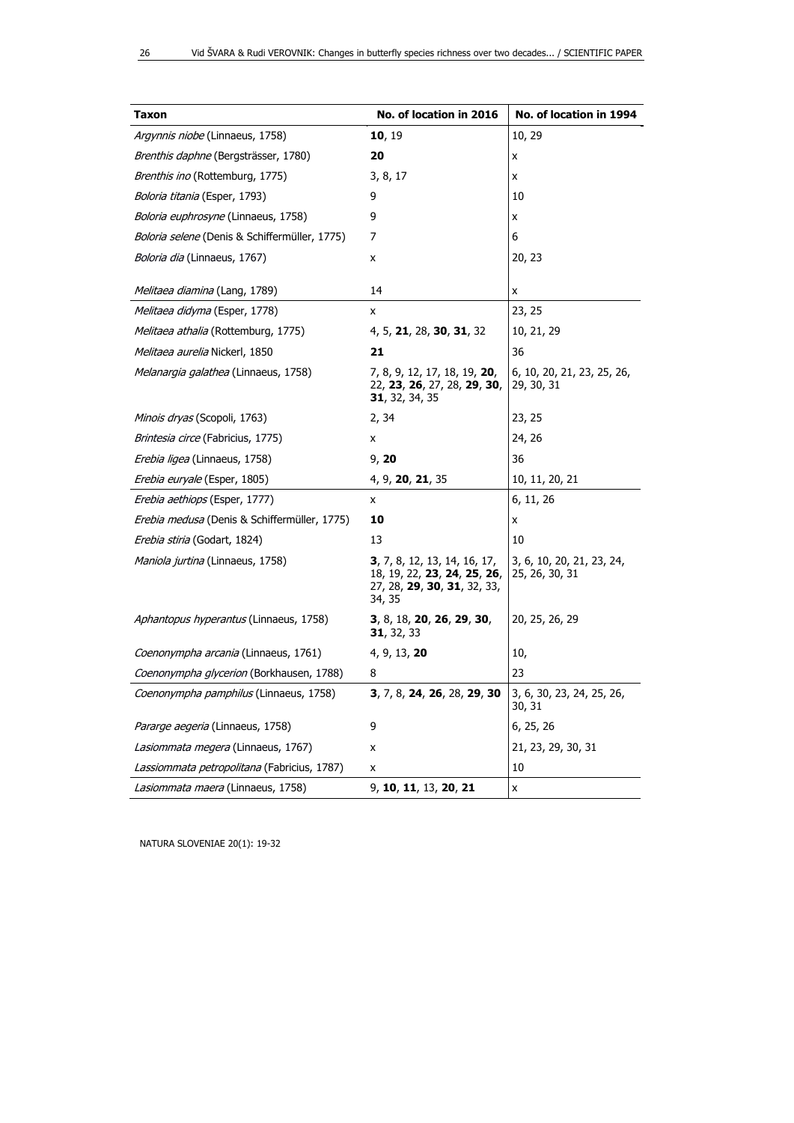| <b>Taxon</b>                                  | No. of location in 2016                                                                                      | No. of location in 1994                     |  |  |  |
|-----------------------------------------------|--------------------------------------------------------------------------------------------------------------|---------------------------------------------|--|--|--|
| Argynnis niobe (Linnaeus, 1758)               | 10, 19                                                                                                       | 10, 29                                      |  |  |  |
| Brenthis daphne (Bergsträsser, 1780)          | 20                                                                                                           | x                                           |  |  |  |
| <i>Brenthis ino</i> (Rottemburg, 1775)        | 3, 8, 17                                                                                                     | x                                           |  |  |  |
| Boloria titania (Esper, 1793)                 | 9                                                                                                            | 10                                          |  |  |  |
| <i>Boloria euphrosyne</i> (Linnaeus, 1758)    | 9                                                                                                            | x                                           |  |  |  |
| Boloria selene (Denis & Schiffermüller, 1775) | 7                                                                                                            | 6                                           |  |  |  |
| <i>Boloria dia</i> (Linnaeus, 1767)           | x                                                                                                            | 20, 23                                      |  |  |  |
| Melitaea diamina (Lang, 1789)                 | 14                                                                                                           | x                                           |  |  |  |
| Melitaea didyma (Esper, 1778)                 | x                                                                                                            | 23, 25                                      |  |  |  |
| Melitaea athalia (Rottemburg, 1775)           | 4, 5, 21, 28, 30, 31, 32                                                                                     | 10, 21, 29                                  |  |  |  |
| Melitaea aurelia Nickerl, 1850                | 21                                                                                                           | 36                                          |  |  |  |
| Melanargia galathea (Linnaeus, 1758)          | 7, 8, 9, 12, 17, 18,  19, <b>20</b> ,<br>22, 23, 26, 27, 28, 29, 30,<br><b>31</b> , 32, 34, 35               | 6, 10, 20, 21, 23, 25, 26,<br>29, 30, 31    |  |  |  |
| Minois dryas (Scopoli, 1763)                  | 2, 34                                                                                                        | 23, 25                                      |  |  |  |
| <i>Brintesia circe</i> (Fabricius, 1775)      | X                                                                                                            | 24, 26                                      |  |  |  |
| <i>Erebia ligea</i> (Linnaeus, 1758)          | 9, 20                                                                                                        | 36                                          |  |  |  |
| Erebia euryale (Esper, 1805)                  | 4, 9, 20, 21, 35                                                                                             | 10, 11, 20, 21                              |  |  |  |
| <i>Erebia aethiops</i> (Esper, 1777)          | x                                                                                                            | 6, 11, 26                                   |  |  |  |
| Erebia medusa (Denis & Schiffermüller, 1775)  | 10                                                                                                           | x                                           |  |  |  |
| <i>Erebia stiria</i> (Godart, 1824)           | 13                                                                                                           | 10                                          |  |  |  |
| <i>Maniola jurtina</i> (Linnaeus, 1758)       | <b>3</b> , 7, 8, 12, 13, 14, 16, 17,<br>18, 19, 22, 23, 24, 25, 26,<br>27, 28, 29, 30, 31, 32, 33,<br>34, 35 | 3, 6, 10, 20, 21, 23, 24,<br>25, 26, 30, 31 |  |  |  |
| Aphantopus hyperantus (Linnaeus, 1758)        | 3, 8, 18, 20, 26, 29, 30,<br><b>31</b> , 32, 33                                                              | 20, 25, 26, 29                              |  |  |  |
| Coenonympha arcania (Linnaeus, 1761)          | 4, 9, 13, 20                                                                                                 | 10,                                         |  |  |  |
| Coenonympha glycerion (Borkhausen, 1788)      | 8                                                                                                            | 23                                          |  |  |  |
| Coenonympha pamphilus (Linnaeus, 1758)        | 3, 7, 8, 24, 26, 28, 29, 30                                                                                  | 3, 6, 30, 23, 24, 25, 26,<br>30, 31         |  |  |  |
| Pararge aegeria (Linnaeus, 1758)              | 9                                                                                                            | 6, 25, 26                                   |  |  |  |
| Lasiommata megera (Linnaeus, 1767)            | x                                                                                                            | 21, 23, 29, 30, 31                          |  |  |  |
| Lassiommata petropolitana (Fabricius, 1787)   | x                                                                                                            | 10                                          |  |  |  |
| Lasiommata maera (Linnaeus, 1758)             | 9, 10, 11, 13, 20, 21                                                                                        | x                                           |  |  |  |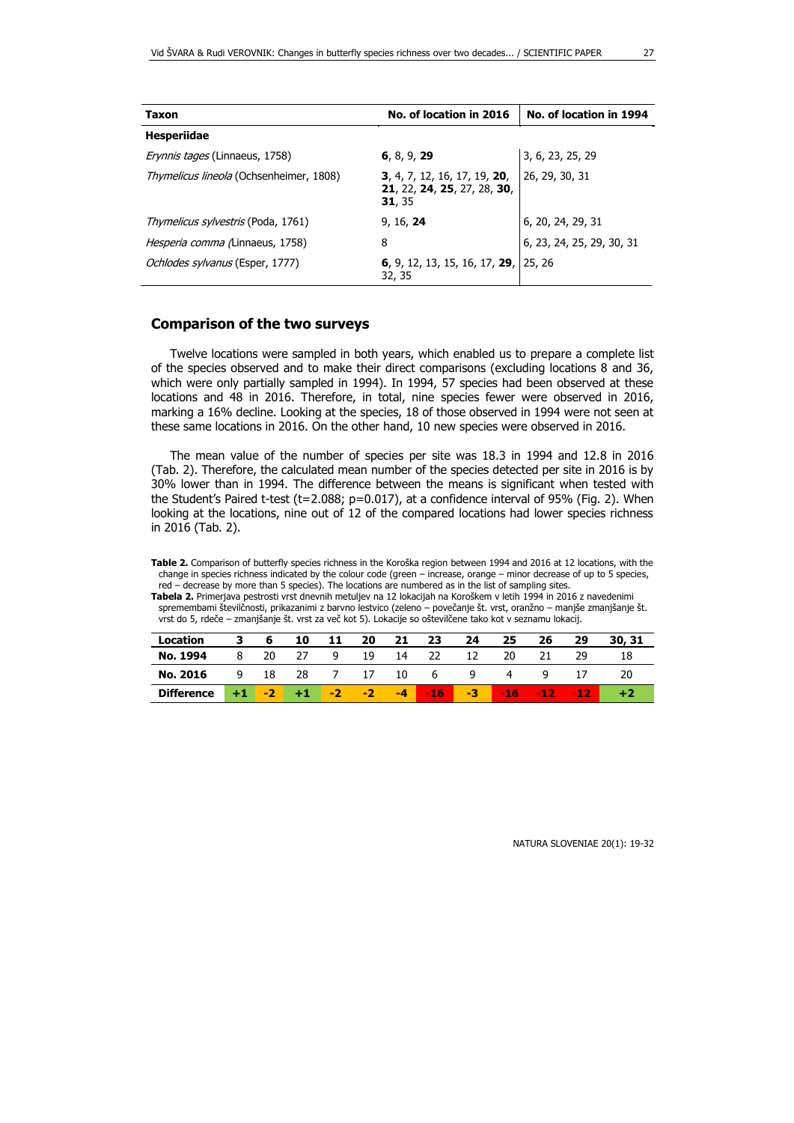| Taxon                                     | No. of location in 2016                                               | No. of location in 1994   |  |  |
|-------------------------------------------|-----------------------------------------------------------------------|---------------------------|--|--|
| <b>Hesperiidae</b>                        |                                                                       |                           |  |  |
| <i>Erynnis tages</i> (Linnaeus, 1758)     | 6, 8, 9, 29                                                           | 3, 6, 23, 25, 29          |  |  |
| Thymelicus lineola (Ochsenheimer, 1808)   | 3, 4, 7, 12, 16, 17, 19, 20,<br>21, 22, 24, 25, 27, 28, 30,<br>31, 35 | 26, 29, 30, 31            |  |  |
| <i>Thymelicus sylvestris</i> (Poda, 1761) | 9, 16, 24                                                             | 6, 20, 24, 29, 31         |  |  |
| Hesperia comma (Linnaeus, 1758)           | 8                                                                     | 6, 23, 24, 25, 29, 30, 31 |  |  |
| Ochlodes sylvanus (Esper, 1777)           | 6, 9, 12, 13, 15, 16, 17, 29, 25, 26<br>32, 35                        |                           |  |  |

#### **Comparison of the two surveys**

Twelve locations were sampled in both years, which enabled us to prepare a complete list of the species observed and to make their direct comparisons (excluding locations 8 and 36, which were only partially sampled in 1994). In 1994, 57 species had been observed at these locations and 48 in 2016. Therefore, in total, nine species fewer were observed in 2016, marking a 16% decline. Looking at the species, 18 of those observed in 1994 were not seen at these same locations in 2016. On the other hand, 10 new species were observed in 2016.

The mean value of the number of species per site was 18.3 in 1994 and 12.8 in 2016 (Tab. 2). Therefore, the calculated mean number of the species detected per site in 2016 is by 30% lower than in 1994. The difference between the means is significant when tested with the Student's Paired t-test (t=2.088; p=0.017), at a confidence interval of 95% (Fig. 2). When looking at the locations, nine out of 12 of the compared locations had lower species richness in 2016 (Tab. 2).

**Table 2.** Comparison of butterfly species richness in the Koroška region between 1994 and 2016 at 12 locations, with the change in species richness indicated by the colour code (green – increase, orange – minor decrease of up to 5 species, red – decrease by more than 5 species). The locations are numbered as in the list of sampling sites.

**Tabela 2.** Primerjava pestrosti vrst dnevnih metuljev na 12 lokacijah na Koroškem v letih 1994 in 2016 z navedenimi spremembami številčnosti, prikazanimi z barvno lestvico (zeleno – povečanje št. vrst, oranžno – manjše zmanjšanje št. vrst do 5, rdeče – zmanjšanje št. vrst za več kot 5). Lokacije so oštevilčene tako kot v seznamu lokacij.

| Location          | 3. | 6.   | 10                  | 11 | 20 | 21 | 23                | -24                                                                                                            | 25                                     | 26 | 29 | 30, 31 |
|-------------------|----|------|---------------------|----|----|----|-------------------|----------------------------------------------------------------------------------------------------------------|----------------------------------------|----|----|--------|
| No. 1994          | 8  | - 20 | 27                  |    |    |    | 9 19 14 22 12 20  |                                                                                                                |                                        | 21 | 29 | 18     |
| No. 2016          |    |      |                     |    |    |    | 9 18 28 7 17 10 6 | in question de la proporcion de la contección de la contección de la contección de la contección de la contecc | $\overline{4}$                         | Q. |    |        |
| <b>Difference</b> |    |      | $+1$ $-2$ $+1$ $-2$ |    |    |    |                   |                                                                                                                | $-2$ $-4$ $-16$ $-3$ $-16$ $-12$ $-12$ |    |    |        |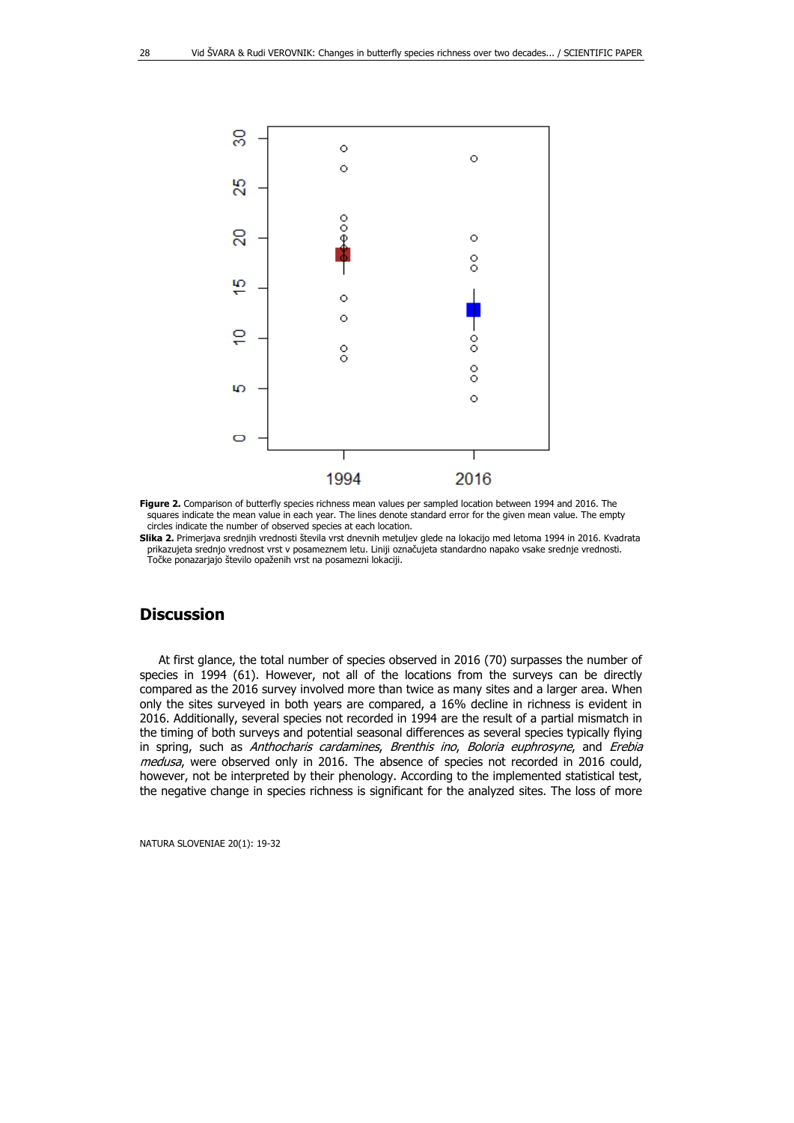

**Figure 2.** Comparison of butterfly species richness mean values per sampled location between 1994 and 2016. The squares indicate the mean value in each year. The lines denote standard error for the given mean value. The empty circles indicate the number of observed species at each location.

**Slika 2.** Primerjava srednjih vrednosti števila vrst dnevnih metuljev glede na lokacijo med letoma 1994 in 2016. Kvadrata prikazujeta srednjo vrednost vrst v posameznem letu. Liniji označujeta standardno napako vsake srednje vrednosti. Točke ponazarjajo število opaženih vrst na posamezni lokaciji.

#### **Discussion**

At first glance, the total number of species observed in 2016 (70) surpasses the number of species in 1994 (61). However, not all of the locations from the surveys can be directly compared as the 2016 survey involved more than twice as many sites and a larger area. When only the sites surveyed in both years are compared, a 16% decline in richness is evident in 2016. Additionally, several species not recorded in 1994 are the result of a partial mismatch in the timing of both surveys and potential seasonal differences as several species typically flying in spring, such as Anthocharis cardamines, Brenthis ino, Boloria euphrosyne, and Erebia medusa, were observed only in 2016. The absence of species not recorded in 2016 could, however, not be interpreted by their phenology. According to the implemented statistical test, the negative change in species richness is significant for the analyzed sites. The loss of more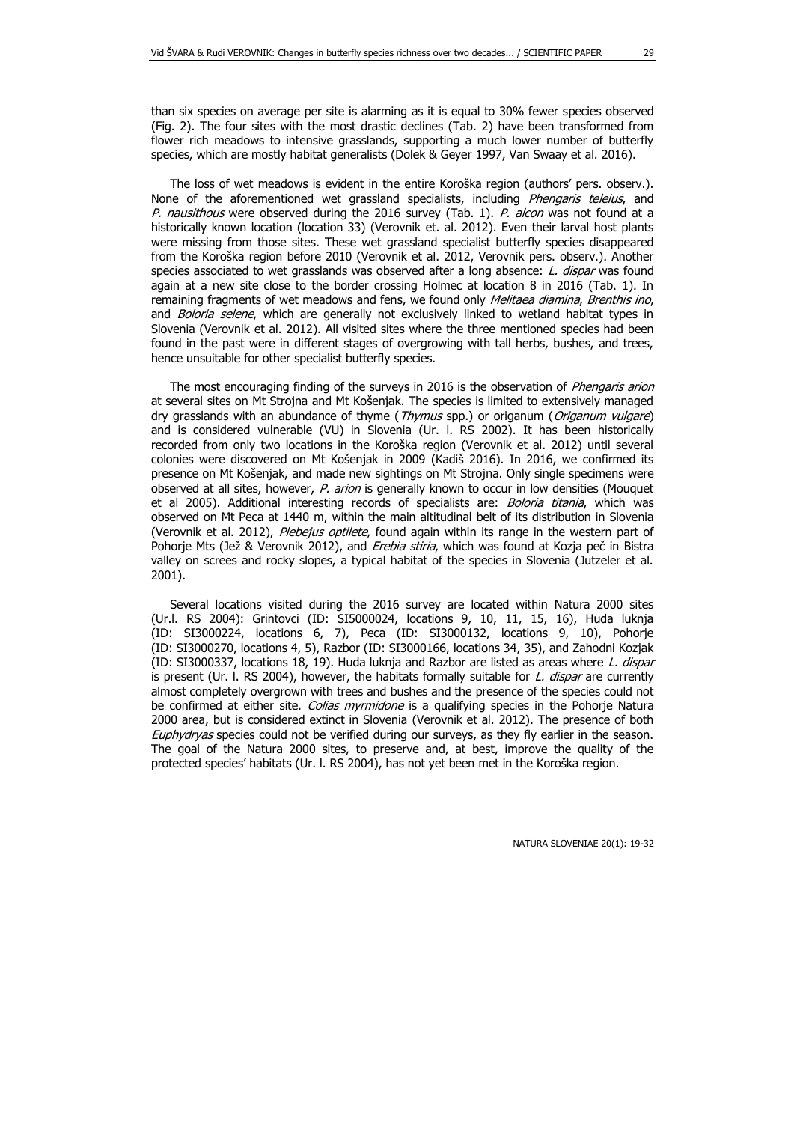than six species on average per site is alarming as it is equal to 30% fewer species observed (Fig. 2). The four sites with the most drastic declines (Tab. 2) have been transformed from flower rich meadows to intensive grasslands, supporting a much lower number of butterfly species, which are mostly habitat generalists (Dolek & Geyer 1997, Van Swaay et al. 2016).

The loss of wet meadows is evident in the entire Koroška region (authors' pers. observ.). None of the aforementioned wet grassland specialists, including Phengaris teleius, and P. nausithous were observed during the 2016 survey (Tab. 1). P. alcon was not found at a historically known location (location 33) (Verovnik et. al. 2012). Even their larval host plants were missing from those sites. These wet grassland specialist butterfly species disappeared from the Koroška region before 2010 (Verovnik et al. 2012, Verovnik pers. observ.). Another species associated to wet grasslands was observed after a long absence: L. dispar was found again at a new site close to the border crossing Holmec at location 8 in 2016 (Tab. 1). In remaining fragments of wet meadows and fens, we found only Melitaea diamina, Brenthis ino, and Boloria selene, which are generally not exclusively linked to wetland habitat types in Slovenia (Verovnik et al. 2012). All visited sites where the three mentioned species had been found in the past were in different stages of overgrowing with tall herbs, bushes, and trees, hence unsuitable for other specialist butterfly species.

The most encouraging finding of the surveys in 2016 is the observation of *Phengaris arion* at several sites on Mt Strojna and Mt Košenjak. The species is limited to extensively managed dry grasslands with an abundance of thyme (Thymus spp.) or origanum (Origanum vulgare) and is considered vulnerable (VU) in Slovenia (Ur. l. RS 2002). It has been historically recorded from only two locations in the Koroška region (Verovnik et al. 2012) until several colonies were discovered on Mt Košenjak in 2009 (Kadiš 2016). In 2016, we confirmed its presence on Mt Košenjak, and made new sightings on Mt Strojna. Only single specimens were observed at all sites, however, P. arion is generally known to occur in low densities (Mouquet et al 2005). Additional interesting records of specialists are: Boloria titania, which was observed on Mt Peca at 1440 m, within the main altitudinal belt of its distribution in Slovenia (Verovnik et al. 2012), Plebejus optilete, found again within its range in the western part of Pohorje Mts (Jež & Verovnik 2012), and Erebia stiria, which was found at Kozja peč in Bistra valley on screes and rocky slopes, a typical habitat of the species in Slovenia (Jutzeler et al. 2001).

Several locations visited during the 2016 survey are located within Natura 2000 sites (Ur.l. RS 2004): Grintovci (ID: SI5000024, locations 9, 10, 11, 15, 16), Huda luknja (ID: SI3000224, locations 6, 7), Peca (ID: SI3000132, locations 9, 10), Pohorje (ID: SI3000270, locations 4, 5), Razbor (ID: SI3000166, locations 34, 35), and Zahodni Kozjak (ID: SI3000337, locations 18, 19). Huda luknja and Razbor are listed as areas where L. dispar is present (Ur. I. RS 2004), however, the habitats formally suitable for  $L$ . dispar are currently almost completely overgrown with trees and bushes and the presence of the species could not be confirmed at either site. Colias myrmidone is a qualifying species in the Pohorje Natura 2000 area, but is considered extinct in Slovenia (Verovnik et al. 2012). The presence of both Euphydryas species could not be verified during our surveys, as they fly earlier in the season. The goal of the Natura 2000 sites, to preserve and, at best, improve the quality of the protected species' habitats (Ur. l. RS 2004), has not yet been met in the Koroška region.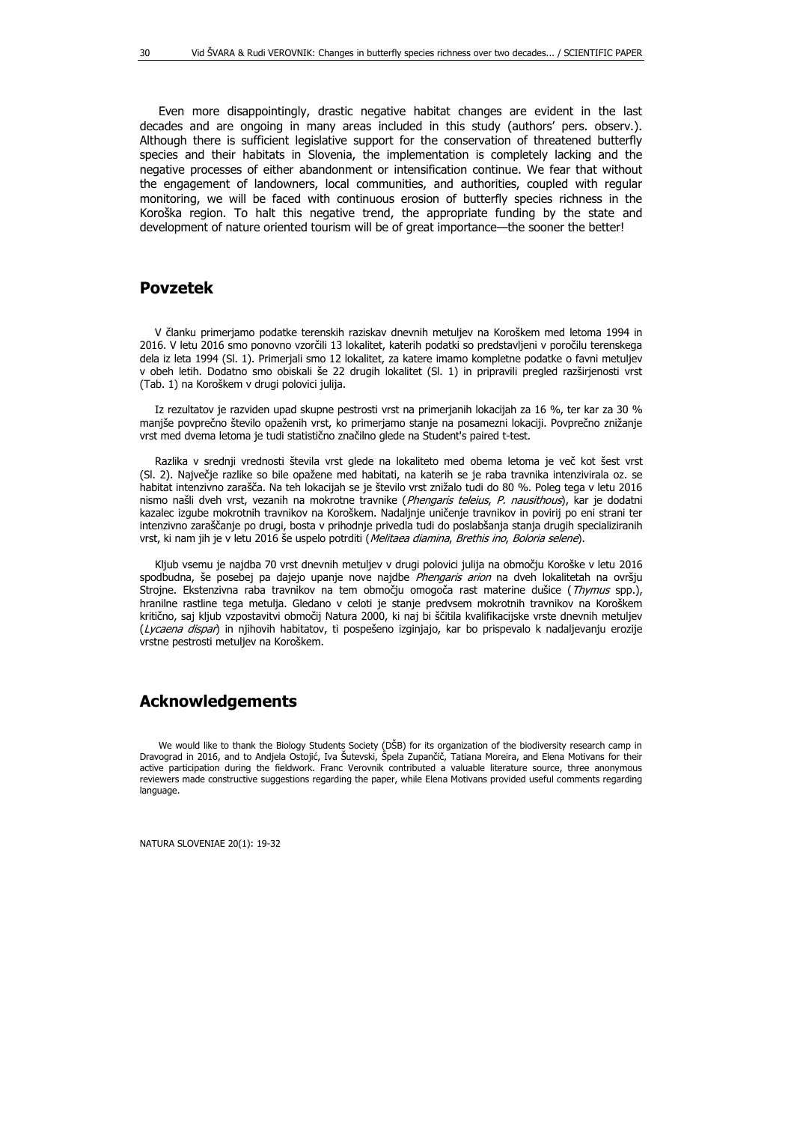Even more disappointingly, drastic negative habitat changes are evident in the last decades and are ongoing in many areas included in this study (authors' pers. observ.). Although there is sufficient legislative support for the conservation of threatened butterfly species and their habitats in Slovenia, the implementation is completely lacking and the negative processes of either abandonment or intensification continue. We fear that without the engagement of landowners, local communities, and authorities, coupled with regular monitoring, we will be faced with continuous erosion of butterfly species richness in the Koroška region. To halt this negative trend, the appropriate funding by the state and development of nature oriented tourism will be of great importance—the sooner the better!

#### **Povzetek**

V članku primerjamo podatke terenskih raziskav dnevnih metuljev na Koroškem med letoma 1994 in 2016. V letu 2016 smo ponovno vzorčili 13 lokalitet, katerih podatki so predstavljeni v poročilu terenskega dela iz leta 1994 (Sl. 1). Primerjali smo 12 lokalitet, za katere imamo kompletne podatke o favni metuljev v obeh letih. Dodatno smo obiskali še 22 drugih lokalitet (Sl. 1) in pripravili pregled razširjenosti vrst (Tab. 1) na Koroškem v drugi polovici julija.

Iz rezultatov je razviden upad skupne pestrosti vrst na primerjanih lokacijah za 16 %, ter kar za 30 % manjše povprečno število opaženih vrst, ko primerjamo stanje na posamezni lokaciji. Povprečno znižanje vrst med dvema letoma je tudi statistično značilno glede na Student's paired t-test.

Razlika v srednji vrednosti števila vrst glede na lokaliteto med obema letoma je več kot šest vrst (Sl. 2). Največje razlike so bile opažene med habitati, na katerih se je raba travnika intenzivirala oz. se habitat intenzivno zarašča. Na teh lokacijah se je število vrst znižalo tudi do 80 %. Poleg tega v letu 2016 nismo našli dveh vrst, vezanih na mokrotne travnike (Phengaris teleius, P. nausithous), kar je dodatni kazalec izgube mokrotnih travnikov na Koroškem. Nadaljnje uničenje travnikov in povirij po eni strani ter intenzivno zaraščanje po drugi, bosta v prihodnje privedla tudi do poslabšanja stanja drugih specializiranih vrst, ki nam jih je v letu 2016 še uspelo potrditi (Melitaea diamina, Brethis ino, Boloria selene).

Kljub vsemu je najdba 70 vrst dnevnih metuljev v drugi polovici julija na območju Koroške v letu 2016 spodbudna, še posebej pa dajejo upanje nove najdbe Phengaris arion na dveh lokalitetah na ovršju Strojne. Ekstenzivna raba travnikov na tem območju omogoča rast materine dušice (Thymus spp.), hranilne rastline tega metulja. Gledano v celoti je stanje predvsem mokrotnih travnikov na Koroškem kritično, saj kljub vzpostavitvi območij Natura 2000, ki naj bi ščitila kvalifikacijske vrste dnevnih metuljev (Lycaena dispar) in njihovih habitatov, ti pospešeno izginjajo, kar bo prispevalo k nadaljevanju erozije vrstne pestrosti metuljev na Koroškem.

## **Acknowledgements**

We would like to thank the Biology Students Society (DSB) for its organization of the biodiversity research camp in Dravograd in 2016, and to Andjela Ostojić, Iva Šutevski, Špela Zupančič, Tatiana Moreira, and Elena Motivans for their active participation during the fieldwork. Franc Verovnik contributed a valuable literature source, three anonymous reviewers made constructive suggestions regarding the paper, while Elena Motivans provided useful comments regarding language.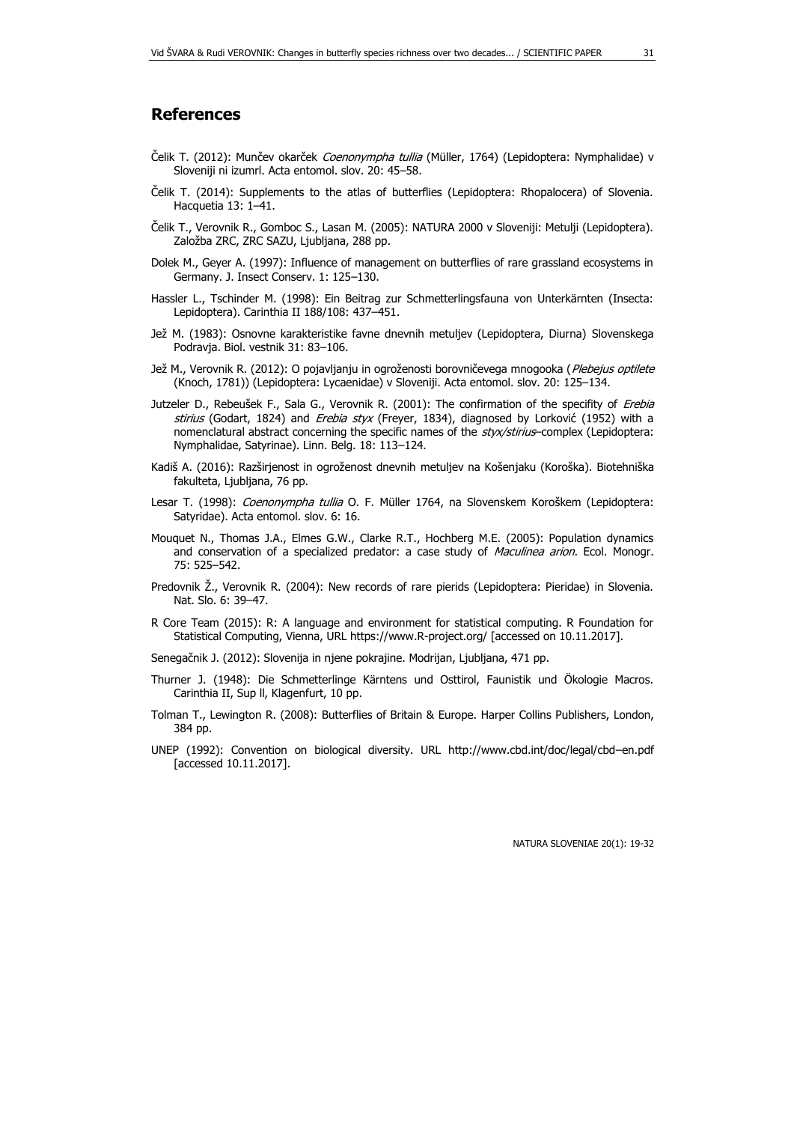## **References**

- Čelik T. (2012): Munčev okarček *Coenonympha tullia* (Müller, 1764) (Lepidoptera: Nymphalidae) v Sloveniji ni izumrl. Acta entomol. slov. 20: 45–58.
- Čelik T. (2014): Supplements to the atlas of butterflies (Lepidoptera: Rhopalocera) of Slovenia. Hacquetia 13: 1–41.
- Čelik T., Verovnik R., Gomboc S., Lasan M. (2005): NATURA 2000 v Sloveniji: Metulji (Lepidoptera). Založba ZRC, ZRC SAZU, Ljubljana, 288 pp.
- Dolek M., Geyer A. (1997): Influence of management on butterflies of rare grassland ecosystems in Germany. J. Insect Conserv. 1: 125–130.
- Hassler L., Tschinder M. (1998): Ein Beitrag zur Schmetterlingsfauna von Unterkärnten (Insecta: Lepidoptera). Carinthia II 188/108: 437–451.
- Jež M. (1983): Osnovne karakteristike favne dnevnih metuljev (Lepidoptera, Diurna) Slovenskega Podravja. Biol. vestnik 31: 83–106.
- Jež M., Verovnik R. (2012): O pojavljanju in ogroženosti borovničevega mnogooka (Plebejus optilete (Knoch, 1781)) (Lepidoptera: Lycaenidae) v Sloveniji. Acta entomol. slov. 20: 125–134.
- Jutzeler D., Rebeušek F., Sala G., Verovnik R. (2001): The confirmation of the specifity of Erebia stirius (Godart, 1824) and Erebia styx (Freyer, 1834), diagnosed by Lorković (1952) with a nomenclatural abstract concerning the specific names of the styx/stirius-complex (Lepidoptera: Nymphalidae, Satyrinae). Linn. Belg. 18: 113–124.
- Kadiš A. (2016): Razširjenost in ogroženost dnevnih metuljev na Košenjaku (Koroška). Biotehniška fakulteta, Ljubljana, 76 pp.
- Lesar T. (1998): Coenonympha tullia O. F. Müller 1764, na Slovenskem Koroškem (Lepidoptera: Satyridae). Acta entomol. slov. 6: 16.
- Mouquet N., Thomas J.A., Elmes G.W., Clarke R.T., Hochberg M.E. (2005): Population dynamics and conservation of a specialized predator: a case study of Maculinea arion. Ecol. Monogr. 75: 525–542.
- Predovnik Ž., Verovnik R. (2004): New records of rare pierids (Lepidoptera: Pieridae) in Slovenia. Nat. Slo. 6: 39–47.
- R Core Team (2015): R: A language and environment for statistical computing. R Foundation for Statistical Computing, Vienna, URL https://www.R-project.org/ [accessed on 10.11.2017].

Senegačnik J. (2012): Slovenija in njene pokrajine. Modrijan, Ljubljana, 471 pp.

- Thurner J. (1948): Die Schmetterlinge Kärntens und Osttirol, Faunistik und Ökologie Macros. Carinthia II, Sup ll, Klagenfurt, 10 pp.
- Tolman T., Lewington R. (2008): Butterflies of Britain & Europe. Harper Collins Publishers, London, 384 pp.
- UNEP (1992): Convention on biological diversity. URL http://www.cbd.int/doc/legal/cbd–en.pdf [accessed 10.11.2017].